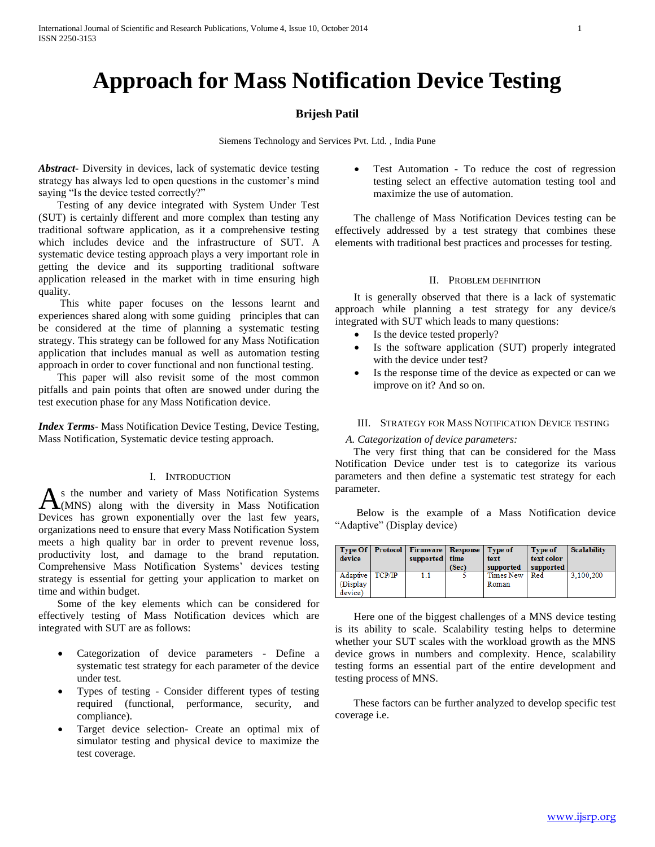# **Approach for Mass Notification Device Testing**

# **Brijesh Patil**

Siemens Technology and Services Pvt. Ltd. , India Pune

*Abstract***-** Diversity in devices, lack of systematic device testing strategy has always led to open questions in the customer's mind saying "Is the device tested correctly?"

 Testing of any device integrated with System Under Test (SUT) is certainly different and more complex than testing any traditional software application, as it a comprehensive testing which includes device and the infrastructure of SUT. A systematic device testing approach plays a very important role in getting the device and its supporting traditional software application released in the market with in time ensuring high quality.

 This white paper focuses on the lessons learnt and experiences shared along with some guiding principles that can be considered at the time of planning a systematic testing strategy. This strategy can be followed for any Mass Notification application that includes manual as well as automation testing approach in order to cover functional and non functional testing.

 This paper will also revisit some of the most common pitfalls and pain points that often are snowed under during the test execution phase for any Mass Notification device.

*Index Terms*- Mass Notification Device Testing, Device Testing, Mass Notification, Systematic device testing approach.

## I. INTRODUCTION

s the number and variety of Mass Notification Systems As the number and variety of Mass Notification Systems<br>
(MNS) along with the diversity in Mass Notification Devices has grown exponentially over the last few years, organizations need to ensure that every Mass Notification System meets a high quality bar in order to prevent revenue loss, productivity lost, and damage to the brand reputation. Comprehensive Mass Notification Systems' devices testing strategy is essential for getting your application to market on time and within budget.

 Some of the key elements which can be considered for effectively testing of Mass Notification devices which are integrated with SUT are as follows:

- Categorization of device parameters Define a systematic test strategy for each parameter of the device under test.
- Types of testing Consider different types of testing required (functional, performance, security, and compliance).
- Target device selection- Create an optimal mix of simulator testing and physical device to maximize the test coverage.

 Test Automation - To reduce the cost of regression testing select an effective automation testing tool and maximize the use of automation.

 The challenge of Mass Notification Devices testing can be effectively addressed by a test strategy that combines these elements with traditional best practices and processes for testing.

#### II. PROBLEM DEFINITION

 It is generally observed that there is a lack of systematic approach while planning a test strategy for any device/s integrated with SUT which leads to many questions:

- Is the device tested properly?
- Is the software application (SUT) properly integrated with the device under test?
- Is the response time of the device as expected or can we improve on it? And so on.

## III. STRATEGY FOR MASS NOTIFICATION DEVICE TESTING

# *A. Categorization of device parameters:*

 The very first thing that can be considered for the Mass Notification Device under test is to categorize its various parameters and then define a systematic test strategy for each parameter.

 Below is the example of a Mass Notification device "Adaptive" (Display device)

| device                                    | Type Of   Protocol   Firmware   Response   Type of<br>supported time | (Sec) | text<br>supported        | <b>Type of</b><br>text color<br>supported | <b>Scalability</b> |
|-------------------------------------------|----------------------------------------------------------------------|-------|--------------------------|-------------------------------------------|--------------------|
| Adaptive   TCP/IP<br>(Display)<br>device) | 1.1                                                                  |       | Times New   Red<br>Roman |                                           | 3.100.200          |

 Here one of the biggest challenges of a MNS device testing is its ability to scale. Scalability testing helps to determine whether your SUT scales with the workload growth as the MNS device grows in numbers and complexity. Hence, scalability testing forms an essential part of the entire development and testing process of MNS.

 These factors can be further analyzed to develop specific test coverage i.e.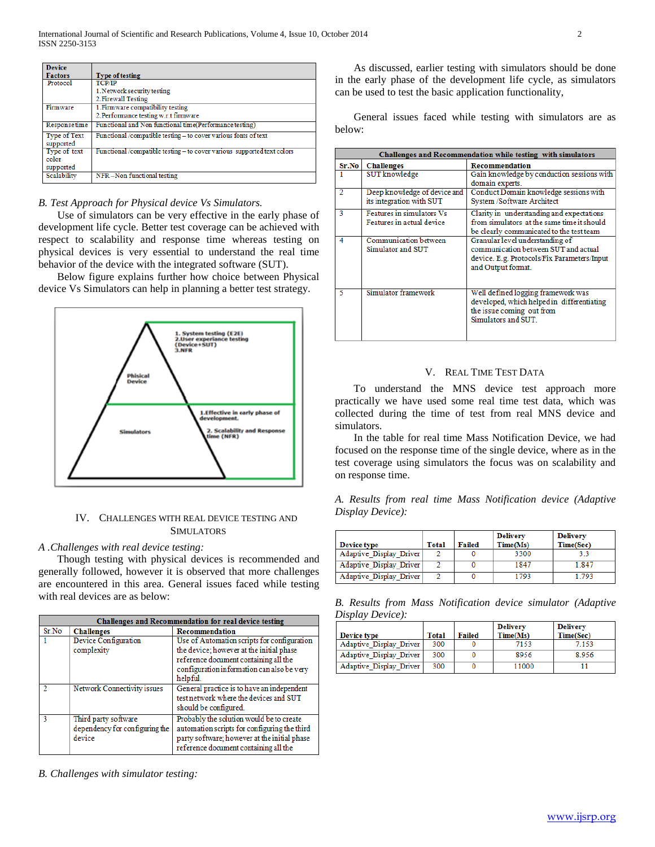| <b>Device</b>                    |                                                                         |
|----------------------------------|-------------------------------------------------------------------------|
| <b>Factors</b>                   | <b>Type of testing</b>                                                  |
| Protocol                         | <b>TCP/IP</b>                                                           |
|                                  | 1. Network security testing                                             |
|                                  | 2. Firewall Testing                                                     |
| Firmware                         | 1. Firmware compatibility testing                                       |
|                                  | 2. Performance testing w.r.t firmware                                   |
| Response time                    | Functional and Non functional time(Performance testing)                 |
| <b>Type of Text</b><br>supported | Functional /compatible testing - to cover various fonts of text         |
| Type of text                     | Functional /compatible testing – to cover various supported text colors |
| color                            |                                                                         |
| supported                        |                                                                         |
| Scalability                      | NFR-Non functional testing                                              |

## *B. Test Approach for Physical device Vs Simulators.*

 Use of simulators can be very effective in the early phase of development life cycle. Better test coverage can be achieved with respect to scalability and response time whereas testing on physical devices is very essential to understand the real time behavior of the device with the integrated software (SUT).

 Below figure explains further how choice between Physical device Vs Simulators can help in planning a better test strategy.



# IV. CHALLENGES WITH REAL DEVICE TESTING AND SIMULATORS

# *A .Challenges with real device testing:*

 Though testing with physical devices is recommended and generally followed, however it is observed that more challenges are encountered in this area. General issues faced while testing with real devices are as below:

|       | <b>Challenges and Recommendation for real device testing</b>     |                                                                                                                                                                                            |  |  |  |
|-------|------------------------------------------------------------------|--------------------------------------------------------------------------------------------------------------------------------------------------------------------------------------------|--|--|--|
| Sr.No | <b>Challenges</b>                                                | Recommendation                                                                                                                                                                             |  |  |  |
|       | Device Configuration<br>complexity                               | Use of Automation scripts for configuration<br>the device; however at the initial phase<br>reference document containing all the<br>configuration information can also be very<br>helpful. |  |  |  |
|       | Network Connectivity issues                                      | General practice is to have an independent<br>test network where the devices and SUT<br>should be configured.                                                                              |  |  |  |
| з     | Third party software<br>dependency for configuring the<br>device | Probably the solution would be to create<br>automation scripts for configuring the third<br>party software; however at the initial phase<br>reference document containing all the          |  |  |  |

*B. Challenges with simulator testing:*

 As discussed, earlier testing with simulators should be done in the early phase of the development life cycle, as simulators can be used to test the basic application functionality,

 General issues faced while testing with simulators are as below:

|       | Challenges and Recommendation while testing with simulators |                                             |  |  |  |  |
|-------|-------------------------------------------------------------|---------------------------------------------|--|--|--|--|
| Sr.No | <b>Challenges</b>                                           | Recommendation                              |  |  |  |  |
|       | SUT knowledge                                               | Gain knowledge by conduction sessions with  |  |  |  |  |
|       |                                                             | domain experts.                             |  |  |  |  |
| 2     | Deep knowledge of device and                                | Conduct Domain knowledge sessions with      |  |  |  |  |
|       | its integration with SUT                                    | System /Software Architect                  |  |  |  |  |
| З     | Features in simulators Vs                                   | Clarity in understanding and expectations   |  |  |  |  |
|       | Features in actual device                                   | from simulators at the same time it should  |  |  |  |  |
|       |                                                             | be clearly communicated to the test team    |  |  |  |  |
| 4     | Communication between                                       | Granular level understanding of             |  |  |  |  |
|       | Simulator and SUT                                           | communication between SUT and actual        |  |  |  |  |
|       |                                                             | device. E.g. Protocols/Fix Parameters/Input |  |  |  |  |
|       |                                                             | and Output format.                          |  |  |  |  |
|       |                                                             |                                             |  |  |  |  |
| 5     | Simulator framework                                         | Well defined logging framework was          |  |  |  |  |
|       |                                                             | developed, which helped in differentiating  |  |  |  |  |
|       |                                                             | the issue coming out from                   |  |  |  |  |
|       |                                                             | Simulators and SUT.                         |  |  |  |  |
|       |                                                             |                                             |  |  |  |  |
|       |                                                             |                                             |  |  |  |  |

# V. REAL TIME TEST DATA

 To understand the MNS device test approach more practically we have used some real time test data, which was collected during the time of test from real MNS device and simulators.

 In the table for real time Mass Notification Device, we had focused on the response time of the single device, where as in the test coverage using simulators the focus was on scalability and on response time.

*A. Results from real time Mass Notification device (Adaptive Display Device):*

| Device type             | Total | <b>Failed</b> | <b>Delivery</b><br>Time(Ms) | <b>Delivery</b><br>Time(Sec) |
|-------------------------|-------|---------------|-----------------------------|------------------------------|
| Adaptive Display Driver |       |               | 3300                        | 33                           |
| Adaptive Display Driver |       |               | 1847                        | 1.847                        |
| Adaptive Display Driver |       |               | 1793                        | 793                          |

*B. Results from Mass Notification device simulator (Adaptive Display Device):*

| Device type             | <b>Total</b> | Failed | <b>Delivery</b><br>Time(Ms) | <b>Delivery</b><br>Time(Sec) |
|-------------------------|--------------|--------|-----------------------------|------------------------------|
| Adaptive Display Driver | 300          |        | 7153                        | 7.153                        |
| Adaptive Display Driver | 300          |        | 8956                        | 8.956                        |
| Adaptive Display Driver | 300          |        | 11000                       |                              |